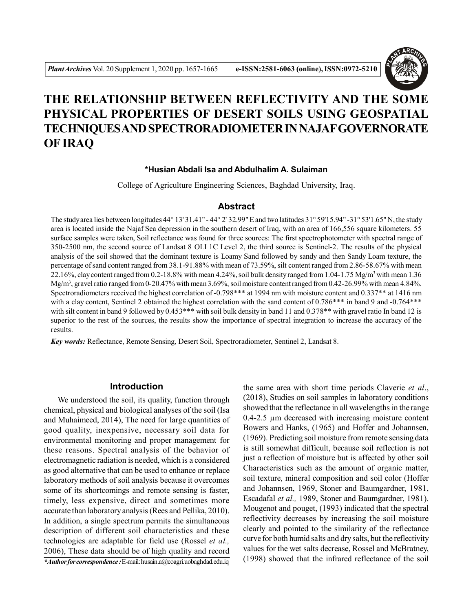

# **THE RELATIONSHIP BETWEEN REFLECTIVITY AND THE SOME PHYSICAL PROPERTIES OF DESERT SOILS USING GEOSPATIAL TECHNIQUES AND SPECTRORADIOMETER IN NAJAF GOVERNORATE OF IRAQ**

## **\*Husian Abdali Isa and Abdulhalim A. Sulaiman**

College of Agriculture Engineering Sciences, Baghdad University, Iraq.

#### **Abstract**

The study area lies between longitudes  $44^{\circ}$  13' 31.41" -  $44^{\circ}$  2' 32.99" E and two latitudes  $31^{\circ}$  59'15.94" -  $31^{\circ}$  53'1.65" N, the study area is located inside the Najaf Sea depression in the southern desert of Iraq, with an area of 166,556 square kilometers. 55 surface samples were taken, Soil reflectance was found for three sources: The first spectrophotometer with spectral range of 350-2500 nm, the second source of Landsat 8 OLI 1C Level 2, the third source is Sentinel-2. The results of the physical analysis of the soil showed that the dominant texture is Loamy Sand followed by sandy and then Sandy Loam texture, the percentage of sand content ranged from 38.1-91.88% with mean of 73.59%, silt content ranged from 2.86-58.67% with mean 22.16%, clay content ranged from 0.2-18.8% with mean 4.24%, soil bulk density ranged from 1.04-1.75 Mg/m<sup>3</sup> with mean 1.36 Mg/m<sup>3</sup> , gravel ratio ranged from 0-20.47% with mean 3.69%, soil moisture content ranged from 0.42-26.99% with mean 4.84%. Spectroradiometers received the highest correlation of -0.798\*\*\* at 1994 nm with moisture content and 0.337\*\* at 1416 nm with a clay content, Sentinel 2 obtained the highest correlation with the sand content of 0.786\*\*\* in band 9 and -0.764\*\*\* with silt content in band 9 followed by 0.453\*\*\* with soil bulk density in band 11 and 0.378\*\* with gravel ratio In band 12 is superior to the rest of the sources, the results show the importance of spectral integration to increase the accuracy of the results.

*Key words:* Reflectance, Remote Sensing, Desert Soil, Spectroradiometer, Sentinel 2, Landsat 8.

## **Introduction**

We understood the soil, its quality, function through chemical, physical and biological analyses of the soil (Isa and Muhaimeed, 2014), The need for large quantities of good quality, inexpensive, necessary soil data for environmental monitoring and proper management for these reasons. Spectral analysis of the behavior of electromagnetic radiation is needed, which is a considered as good alternative that can be used to enhance or replace laboratory methods of soil analysis because it overcomes some of its shortcomings and remote sensing is faster, timely, less expensive, direct and sometimes more accurate than laboratory analysis (Rees and Pellika, 2010). In addition, a single spectrum permits the simultaneous description of different soil characteristics and these technologies are adaptable for field use (Rossel *et al.,* 2006), These data should be of high quality and record

*\*Author for correspondence :* E-mail: husain.a@coagri.uobaghdad.edu.iq

the same area with short time periods Claverie *et al*., (2018), Studies on soil samples in laboratory conditions showed that the reflectance in all wavelengths in the range 0.4-2.5 µm decreased with increasing moisture content Bowers and Hanks, (1965) and Hoffer and Johannsen, (1969). Predicting soil moisture from remote sensing data is still somewhat difficult, because soil reflection is not just a reflection of moisture but is affected by other soil Characteristics such as the amount of organic matter, soil texture, mineral composition and soil color (Hoffer and Johannsen, 1969, Stoner and Baumgardner, 1981, Escadafal *et al.,* 1989, Stoner and Baumgardner, 1981). Mougenot and pouget, (1993) indicated that the spectral reflectivity decreases by increasing the soil moisture clearly and pointed to the similarity of the reflectance curve for both humid salts and dry salts, but the reflectivity values for the wet salts decrease, Rossel and McBratney, (1998) showed that the infrared reflectance of the soil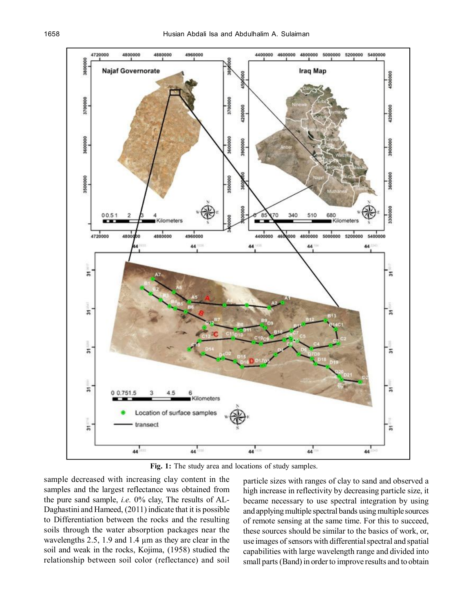

**Fig. 1:** The study area and locations of study samples.

sample decreased with increasing clay content in the samples and the largest reflectance was obtained from the pure sand sample, *i.e.* 0% clay, The results of AL-Daghastini and Hameed, (2011) indicate that it is possible to Differentiation between the rocks and the resulting soils through the water absorption packages near the wavelengths 2.5, 1.9 and 1.4  $\mu$ m as they are clear in the soil and weak in the rocks, Kojima, (1958) studied the relationship between soil color (reflectance) and soil

particle sizes with ranges of clay to sand and observed a high increase in reflectivity by decreasing particle size, it became necessary to use spectral integration by using and applying multiple spectral bands using multiple sources of remote sensing at the same time. For this to succeed, these sources should be similar to the basics of work, or, use images of sensors with differential spectral and spatial capabilities with large wavelength range and divided into small parts (Band) in order to improve results and to obtain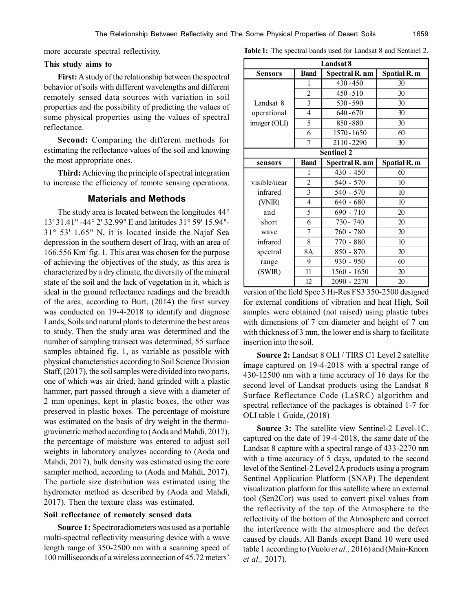more accurate spectral reflectivity.

#### **This study aims to**

**First:** A study of the relationship between the spectral behavior of soils with different wavelengths and different remotely sensed data sources with variation in soil properties and the possibility of predicting the values of some physical properties using the values of spectral reflectance.

**Second:** Comparing the different methods for estimating the reflectance values of the soil and knowing the most appropriate ones.

**Third:** Achieving the principle of spectral integration to increase the efficiency of remote sensing operations.

## **Materials and Methods**

The study area is located between the longitudes 44° 13' 31.41" -44° 2' 32.99" E and latitudes 31° 59' 15.94"- 31° 53' 1.65" N, it is located inside the Najaf Sea depression in the southern desert of Iraq, with an area of 166.556 Km<sup>2</sup>fig. 1. This area was chosen for the purpose of achieving the objectives of the study, as this area is characterized by a dry climate, the diversity of the mineral state of the soil and the lack of vegetation in it, which is ideal in the ground reflectance readings and the breadth of the area, according to Burt, (2014) the first survey was conducted on 19-4-2018 to identify and diagnose Lands, Soils and natural plants to determine the best areas to study. Then the study area was determined and the number of sampling transect was determined, 55 surface samples obtained fig. 1, as variable as possible with physical characteristics according to Soil Science Division Staff, (2017), the soil samples were divided into two parts, one of which was air dried, hand grinded with a plastic hammer, part passed through a sieve with a diameter of 2 mm openings, kept in plastic boxes, the other was preserved in plastic boxes. The percentage of moisture was estimated on the basis of dry weight in the thermogravimetric method according to (Aoda and Mahdi, 2017), the percentage of moisture was entered to adjust soil weights in laboratory analyzes according to (Aoda and Mahdi, 2017), bulk density was estimated using the core sampler method, according to (Aoda and Mahdi, 2017). The particle size distribution was estimated using the hydrometer method as described by (Aoda and Mahdi, 2017). Then the texture class was estimated.

#### **Soil reflectance of remotely sensed data**

**Source 1:** Spectroradiometers was used as a portable multi-spectral reflectivity measuring device with a wave length range of 350-2500 nm with a scanning speed of 100 milliseconds of a wireless connection of 45.72 meters'

|  | Table 1: The spectral bands used for Landsat 8 and Sentinel 2. |  |  |  |  |  |  |
|--|----------------------------------------------------------------|--|--|--|--|--|--|
|--|----------------------------------------------------------------|--|--|--|--|--|--|

| Landsat 8                                                              |                |             |                  |  |  |  |  |  |  |  |
|------------------------------------------------------------------------|----------------|-------------|------------------|--|--|--|--|--|--|--|
| Spatial R. m<br><b>Band</b><br><b>Sensors</b><br><b>Spectral R. nm</b> |                |             |                  |  |  |  |  |  |  |  |
|                                                                        | 1              | $430 - 450$ | 30               |  |  |  |  |  |  |  |
|                                                                        | $\overline{c}$ | $450 - 510$ | 30               |  |  |  |  |  |  |  |
| Landsat 8                                                              | $\overline{3}$ | 530-590     | 30               |  |  |  |  |  |  |  |
| operational                                                            | 4              | $640 - 670$ | 30               |  |  |  |  |  |  |  |
| imager (OLI)                                                           | 5              | 850-880     | 30               |  |  |  |  |  |  |  |
|                                                                        | 6              | 1570 - 1650 | 60               |  |  |  |  |  |  |  |
|                                                                        | 7              | 2110-2290   | 30               |  |  |  |  |  |  |  |
| <b>Sentinel 2</b>                                                      |                |             |                  |  |  |  |  |  |  |  |
| Spatial R. m<br><b>Band</b><br><b>Spectral R. nm</b><br>sensors        |                |             |                  |  |  |  |  |  |  |  |
|                                                                        | 1              | $430 - 450$ | 60               |  |  |  |  |  |  |  |
| visible/near                                                           | 2              | 540 - 570   | 10 <sup>10</sup> |  |  |  |  |  |  |  |
| infrared                                                               | $\overline{3}$ | 540 - 570   | 10               |  |  |  |  |  |  |  |
| (VNIR)                                                                 | 4              | $640 - 680$ | 10               |  |  |  |  |  |  |  |
| and                                                                    | 5              | 690 - 710   | 20               |  |  |  |  |  |  |  |
| short                                                                  | 6              | 730 - 740   | 20               |  |  |  |  |  |  |  |
| wave                                                                   | 7              | 760 - 780   | 20               |  |  |  |  |  |  |  |
| infrared                                                               | 8              | 770 - 880   | 10               |  |  |  |  |  |  |  |
| spectral                                                               | 8A             | $850 - 870$ | 20               |  |  |  |  |  |  |  |
| range                                                                  | 9              | 930 - 950   | 60               |  |  |  |  |  |  |  |
| (SWIR)                                                                 | 11             | 1560 - 1650 | 20               |  |  |  |  |  |  |  |
|                                                                        | 12             | 2090 - 2270 | 20               |  |  |  |  |  |  |  |

version of the field Spec 3 Hi-Res FS3 350-2500 designed for external conditions of vibration and heat High, Soil samples were obtained (not raised) using plastic tubes with dimensions of 7 cm diameter and height of 7 cm with thickness of 3 mm, the lower end is sharp to facilitate insertion into the soil.

**Source 2:** Landsat 8 OLI / TIRS C1 Level 2 satellite image captured on 19-4-2018 with a spectral range of 430-12500 nm with a time accuracy of 16 days for the second level of Landsat products using the Landsat 8 Surface Reflectance Code (LaSRC) algorithm and spectral reflectance of the packages is obtained 1-7 for OLI table 1 Guide, (2018)

**Source 3:** The satellite view Sentinel-2 Level-1C, captured on the date of 19-4-2018, the same date of the Landsat 8 capture with a spectral range of 433-2270 nm with a time accuracy of 5 days, updated to the second level of the Sentinel-2 Level 2A products using a program Sentinel Application Platform (SNAP) The dependent visualization platform for this satellite where an external tool (Sen2Cor) was used to convert pixel values from the reflectivity of the top of the Atmosphere to the reflectivity of the bottom of the Atmosphere and correct the interference with the atmosphere and the defect caused by clouds, All Bands except Band 10 were used table 1 according to (Vuolo *et al.,* 2016) and (Main-Knorn *et al.,* 2017).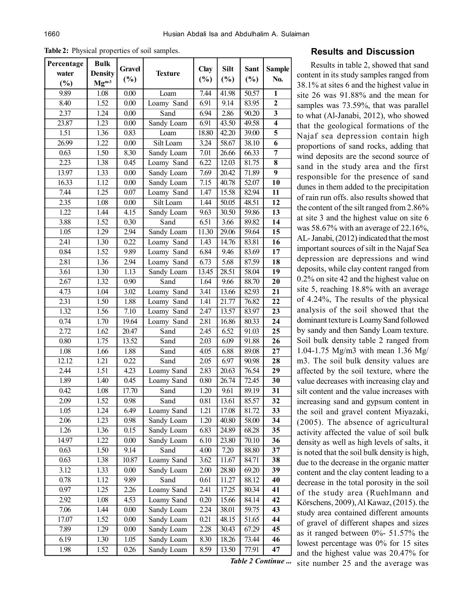**Table 2:** Physical properties of soil samples.

| Percentage        | <b>Bulk</b>    |        |                   |        | Silt  | Sant  |                 |  |
|-------------------|----------------|--------|-------------------|--------|-------|-------|-----------------|--|
| water             | <b>Density</b> | Gravel | <b>Texture</b>    | Clay   |       |       | <b>Sample</b>   |  |
| (%)               | $Mg^{m-3}$     | $(\%)$ |                   | $(\%)$ | (%)   | (%)   | No.             |  |
| 9.89              | 1.08           | 0.00   | Loam              | 7.44   | 41.98 | 50.57 | $\mathbf{1}$    |  |
| 8.40              | 1.52           | 0.00   | Loamy Sand        | 6.91   | 9.14  | 83.95 | $\overline{2}$  |  |
| 2.37              | 1.24           | 0.00   | Sand              | 6.94   | 2.86  | 90.20 | 3               |  |
| 23.87             | 1.23           | 0.00   | Sandy Loam        | 6.91   | 43.50 | 49.58 | $\overline{4}$  |  |
| 1.51              | 1.36           | 0.83   | Loam              | 18.80  | 42.20 | 39.00 | $\overline{5}$  |  |
| 26.99             | 1.22           | 0.00   | Silt Loam         | 3.24   | 58.67 | 38.10 | 6               |  |
| 0.63              | 1.50           | 8.30   | Sandy Loam        | 7.01   | 26.66 | 66.33 | 7               |  |
| 2.23              | 1.38           | 0.45   | Loamy Sand        | 6.22   | 12.03 | 81.75 | 8               |  |
| 13.97             | 1.33           | 0.00   | Sandy Loam        | 7.69   | 20.42 | 71.89 | $\overline{9}$  |  |
| 16.33             | 1.12           | 0.00   | Sandy Loam        | 7.15   | 40.78 | 52.07 | 10              |  |
| 7.44              | 1.25           | 0.07   | Loamy Sand        | 1.47   | 15.58 | 82.94 | 11              |  |
| 2.35              | 1.08           | 0.00   | Silt Loam         | 1.44   | 50.05 | 48.51 | 12              |  |
| 1.22              | 1.44           | 4.15   | Sandy Loam        | 9.63   | 30.50 | 59.86 | 13              |  |
| 3.88              | 1.52           | 0.30   | Sand              | 6.51   | 3.66  | 89.82 | 14              |  |
| 1.05              | 1.29           | 2.94   | Sandy Loam        | 11.30  | 29.06 | 59.64 | $\overline{15}$ |  |
| 2.41              | 1.30           | 0.22   | Loamy Sand        | 1.43   | 14.76 | 83.81 | $\overline{16}$ |  |
| 0.84              | 1.52           | 9.89   | Loamy Sand        | 6.84   | 9.46  | 83.69 | 17              |  |
| 2.81              | 1.36           | 2.94   | Loamy Sand        | 6.73   | 5.68  | 87.59 | 18              |  |
| $\overline{3.61}$ | 1.30           | 1.13   | <b>Sandy Loam</b> | 13.45  | 28.51 | 58.04 | $\overline{19}$ |  |
| 2.67              | 1.32           | 0.90   | Sand              | 1.64   | 9.66  | 88.70 | 20              |  |
| 4.73              | 1.04           | 3.02   | Loamy Sand        | 3.41   | 13.66 | 82.93 | 21              |  |
| 2.31              | 1.50           | 1.88   | Loamy Sand        | 1.41   | 21.77 | 76.82 | 22              |  |
| 1.32              | 1.56           | 7.10   | Loamy Sand        | 2.47   | 13.57 | 83.97 | $\overline{23}$ |  |
| 0.74              | 1.70           | 19.64  | Loamy Sand        | 2.81   | 16.86 | 80.33 | $\overline{24}$ |  |
| 2.72              | 1.62           | 20.47  | Sand              | 2.45   | 6.52  | 91.03 | 25              |  |
| 0.80              | 1.75           | 13.52  | Sand              | 2.03   | 6.09  | 91.88 | 26              |  |
| 1.08              | 1.66           | 1.88   | Sand              | 4.05   | 6.88  | 89.08 | $\overline{27}$ |  |
| 12.12             | 1.21           | 0.22   | Sand              | 2.05   | 6.97  | 90.98 | 28              |  |
| 2.44              | 1.51           | 4.23   | Loamy Sand        | 2.83   | 20.63 | 76.54 | 29              |  |
| 1.89              | 1.40           | 0.45   | Loamy Sand        | 0.80   | 26.74 | 72.45 | 30              |  |
| 0.42              | 1.08           | 17.70  | Sand              | 1.20   | 9.61  | 89.19 | 31              |  |
| 2.09              | 1.52           | 0.98   | Sand              | 0.81   | 13.61 | 85.57 | 32              |  |
| 1.05              | 1.24           | 6.49   | Loamy Sand        | 1.21   | 17.08 | 81.72 | 33              |  |
| 2.06              | 1.23           | 0.98   | Sandy Loam        | 1.20   | 40.80 | 58.00 | 34              |  |
| 1.26              | 1.36           | 0.15   | Sandy Loam        | 6.83   | 24.89 | 68.28 | 35              |  |
| 14.97             | 1.22           | 0.00   | Sandy Loam        | 6.10   | 23.80 | 70.10 | 36              |  |
| 0.63              | 1.50           | 9.14   | Sand              | 4.00   | 7.20  | 88.80 | 37              |  |
| 0.63              | 1.38           | 10.87  | Loamy Sand        | 3.62   | 11.67 | 84.71 | 38              |  |
| 3.12              | 1.33           | 0.00   | Sandy Loam        | 2.00   | 28.80 | 69.20 | 39              |  |
| 0.78              | 1.12           | 9.89   | Sand              | 0.61   | 11.27 | 88.12 | 40              |  |
| 0.97              | 1.25           | 2.26   | Loamy Sand        | 2.41   | 17.25 | 80.34 | 41              |  |
| 2.92              | 1.08           | 4.53   | Loamy Sand        | 0.20   | 15.66 | 84.14 | 42              |  |
| 7.06              | 1.44           | 0.00   | Sandy Loam        | 2.24   | 38.01 | 59.75 | 43              |  |
| 17.07             | 1.52           | 0.00   | Sandy Loam        | 0.21   | 48.15 | 51.65 | 44              |  |
| 7.89              | 1.29           | 0.00   | Sandy Loam        | 2.28   | 30.43 | 67.29 | 45              |  |
| 6.19              | 1.30           | 1.05   | Sandy Loam        | 8.30   | 18.26 | 73.44 | 46              |  |
| 1.98              | 1.52           | 0.26   | Sandy Loam        | 8.59   | 13.50 | 77.91 | 47              |  |

# **Results and Discussion**

*Table 2 Continue ...* site number 25 and the average wasResults in table 2, showed that sand content in its study samples ranged from 38.1% at sites 6 and the highest value in site 26 was 91.88% and the mean for samples was 73.59%, that was parallel to what (Al-Janabi, 2012), who showed that the geological formations of the Najaf sea depression contain high proportions of sand rocks, adding that wind deposits are the second source of sand in the study area and the first responsible for the presence of sand dunes in them added to the precipitation of rain run offs. also results showed that the content of the silt ranged from 2.86% at site 3 and the highest value on site 6 was 58.67% with an average of 22.16%, AL- Janabi, (2012) indicated that the most important sources of silt in the Najaf Sea depression are depressions and wind deposits, while clay content ranged from 0.2% on site 42 and the highest value on site 5, reaching 18.8% with an average of 4.24%, The results of the physical analysis of the soil showed that the dominant texture is Loamy Sand followed by sandy and then Sandy Loam texture. Soil bulk density table 2 ranged from 1.04-1.75 Mg/m3 with mean 1.36 Mg/ m3. The soil bulk density values are affected by the soil texture, where the value decreases with increasing clay and silt content and the value increases with increasing sand and gypsum content in the soil and gravel content Miyazaki, (2005). The absence of agricultural activity affected the value of soil bulk density as well as high levels of salts, it is noted that the soil bulk density is high, due to the decrease in the organic matter content and the clay content leading to a decrease in the total porosity in the soil of the study area (Ruehlmann and Körschens, 2009), Al Kawaz, (2015). the study area contained different amounts of gravel of different shapes and sizes as it ranged between 0%- 51.57% the lowest percentage was 0% for 15 sites and the highest value was 20.47% for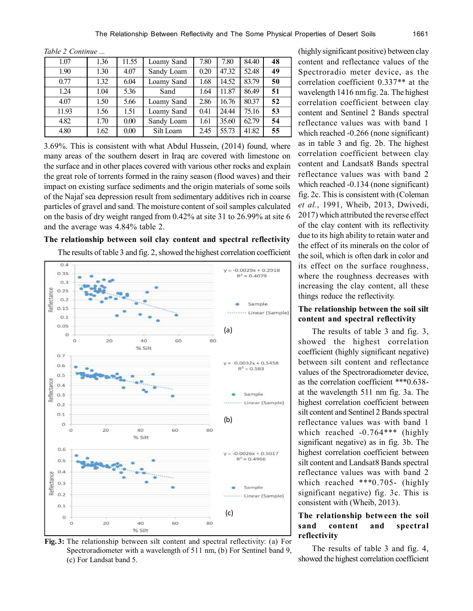|  | Table 2 Continue |  |
|--|------------------|--|
|--|------------------|--|

| 1.07  | 1.36 | 11.55 | Loamy Sand | 7.80 | 7.80  | 84.40 | 48 |
|-------|------|-------|------------|------|-------|-------|----|
| 1.90  | 1.30 | 4.07  | Sandy Loam | 0.20 | 47.32 | 52.48 | 49 |
| 0.77  | 1.32 | 6.04  | Loamy Sand | 1.68 | 14.52 | 83.79 | 50 |
| 1.24  | 1.04 | 5.36  | Sand       | 1.64 | 11.87 | 86.49 | 51 |
| 4.07  | 1.50 | 5.66  | Loamy Sand | 2.86 | 16.76 | 80.37 | 52 |
| 11.93 | 1.56 | 1.51  | Loamy Sand | 0.41 | 24.44 | 75.16 | 53 |
| 4.82  | 1.70 | 0.00  | Sandy Loam | 1.61 | 35.60 | 62.79 | 54 |
| 4.80  | 1.62 | 0.00  | Silt Loam  | 2.45 | 55.73 | 41.82 | 55 |

3.69%. This is consistent with what Abdul Hussein, (2014) found, where many areas of the southern desert in Iraq are covered with limestone on the surface and in other places covered with various other rocks and explain the great role of torrents formed in the rainy season (flood waves) and their impact on existing surface sediments and the origin materials of some soils of the Najaf sea depression result from sedimentary additives rich in coarse particles of gravel and sand. The moisture content of soil samples calculated on the basis of dry weight ranged from 0.42% at site 31 to 26.99% at site 6 and the average was 4.84% table 2.

## **The relationship between soil clay content and spectral reflectivity**

The results of table 3 and fig. 2, showed the highest correlation coefficient



**Fig. 3:** The relationship between silt content and spectral reflectivity: (a) For Spectroradiometer with a wavelength of 511 nm, (b) For Sentinel band 9, (c) For Landsat band 5.

(highly significant positive) between clay content and reflectance values of the Spectroradio meter device, as the correlation coefficient 0.337\*\* at the wavelength 1416 nm fig. 2a. The highest correlation coefficient between clay content and Sentinel 2 Bands spectral reflectance values was with band 1 which reached  $-0.266$  (none significant) as in table 3 and fig. 2b. The highest correlation coefficient between clay content and Landsat8 Bands spectral reflectance values was with band 2 which reached  $-0.134$  (none significant) fig. 2c. This is consistent with (Coleman *et al.*, 1991, Wheib, 2013, Dwivedi, 2017) which attributed the reverse effect of the clay content with its reflectivity due to its high ability to retain water and the effect of its minerals on the color of the soil, which is often dark in color and its effect on the surface roughness, where the roughness decreases with increasing the clay content, all these things reduce the reflectivity.

#### **The relationship between the soil silt content and spectral reflectivity**

The results of table 3 and fig. 3, showed the highest correlation coefficient (highly significant negative) between silt content and reflectance values of the Spectroradiometer device, as the correlation coefficient \*\*\*0.638 at the wavelength 511 nm fig. 3a. The highest correlation coefficient between silt content and Sentinel 2 Bands spectral reflectance values was with band 1 which reached -0.764\*\*\* (highly significant negative) as in fig. 3b. The highest correlation coefficient between silt content and Landsat8 Bands spectral reflectance values was with band 2 which reached \*\*\*0.705- (highly significant negative) fig. 3c. This is consistent with (Wheib, 2013).

# **The relationship between the soil sand content and spectral reflectivity**

The results of table 3 and fig. 4, showed the highest correlation coefficient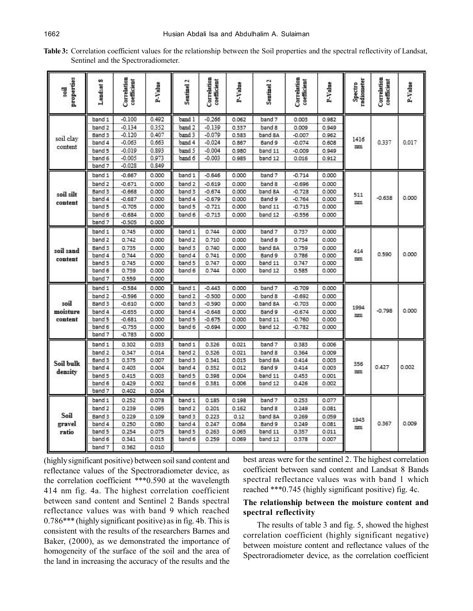| Table 3: Correlation coefficient values for the relationship between the Soil properties and the spectral reflectivity of Landsat, |  |  |  |  |
|------------------------------------------------------------------------------------------------------------------------------------|--|--|--|--|
| Sentinel and the Spectroradiometer.                                                                                                |  |  |  |  |

| $-0.100$<br>0.492<br>$-0.266$<br>band 1<br>band 1<br>0.062<br>band 7<br>0.003<br>0.982<br>band 2<br>0.352<br>$-0.139$<br>band <sub>2</sub><br>$-0.134$<br>band 8<br>0.949<br>0.337<br>0.009<br>$-0.120$<br>0.407<br>band 3<br>$-0.079$<br>Band 3<br>0.583<br>band 8A<br>$-0.007$<br>0.962<br>soil clav<br>$-0.063$<br>band 4<br>$-0.024$<br>band 4<br>0.663<br>Band 9<br>0.867<br>$-0.074$<br>0.608<br>content<br>$-0.019$<br>0.893<br>$-0.004$<br>band 5<br>band 5<br>0.980<br>band 11<br>$-0.009$<br>0.949<br>$-0.005$<br>0.973<br>band 6<br>$-0.003$<br>band 6<br>band 12<br>0.985<br>0.016<br>0.912<br>$-0.028$<br>0.849<br>band 7 | 1416<br>mm |          |       |  |
|----------------------------------------------------------------------------------------------------------------------------------------------------------------------------------------------------------------------------------------------------------------------------------------------------------------------------------------------------------------------------------------------------------------------------------------------------------------------------------------------------------------------------------------------------------------------------------------------------------------------------------------|------------|----------|-------|--|
|                                                                                                                                                                                                                                                                                                                                                                                                                                                                                                                                                                                                                                        |            |          |       |  |
|                                                                                                                                                                                                                                                                                                                                                                                                                                                                                                                                                                                                                                        |            |          |       |  |
|                                                                                                                                                                                                                                                                                                                                                                                                                                                                                                                                                                                                                                        |            |          |       |  |
|                                                                                                                                                                                                                                                                                                                                                                                                                                                                                                                                                                                                                                        |            | 0.337    | 0.017 |  |
|                                                                                                                                                                                                                                                                                                                                                                                                                                                                                                                                                                                                                                        |            |          |       |  |
|                                                                                                                                                                                                                                                                                                                                                                                                                                                                                                                                                                                                                                        |            |          |       |  |
|                                                                                                                                                                                                                                                                                                                                                                                                                                                                                                                                                                                                                                        |            |          |       |  |
| band 1<br>$-0.667$<br>0.000<br>band 1<br>$-0.646$<br>0.000<br>band 7<br>$-0.714$<br>0.000                                                                                                                                                                                                                                                                                                                                                                                                                                                                                                                                              |            |          |       |  |
| band <sub>2</sub><br>band <sub>2</sub><br>$-0.671$<br>0.000<br>$-0.619$<br>band 8<br>0.000<br>0.000<br>$-0.696$                                                                                                                                                                                                                                                                                                                                                                                                                                                                                                                        |            |          |       |  |
| 0.000<br>Band 3<br>$-0.668$<br>band 3<br>$-0.674$<br>0.000<br>band 8A<br>$-0.728$<br>0.000                                                                                                                                                                                                                                                                                                                                                                                                                                                                                                                                             |            |          | 0.000 |  |
| soil silt<br>band 4<br>band 4<br>$-0.687$<br>Band 9<br>0.000<br>$-0.679$<br>0.000<br>$-0.764$<br>0.000                                                                                                                                                                                                                                                                                                                                                                                                                                                                                                                                 | 511        | $-0.638$ |       |  |
| content<br>band 5<br>$-0.705$<br>0.000<br>band 5<br>$-0.721$<br>0.000<br>band 11<br>$-0.715$<br>0.000                                                                                                                                                                                                                                                                                                                                                                                                                                                                                                                                  | m          |          |       |  |
| band 6<br>$-0.684$<br>0.000<br>band 6<br>$-0.713$<br>0.000<br>band 12<br>$-0.556$<br>0.000                                                                                                                                                                                                                                                                                                                                                                                                                                                                                                                                             |            |          |       |  |
| band 7<br>0.000<br>$-0.505$                                                                                                                                                                                                                                                                                                                                                                                                                                                                                                                                                                                                            |            |          |       |  |
| band 1<br>0.745<br>0.000<br>band 1<br>0.000<br>0.744<br>0.000<br>band 7<br>0.737                                                                                                                                                                                                                                                                                                                                                                                                                                                                                                                                                       |            |          |       |  |
| band <sub>2</sub><br>0.742<br>0.000<br>band <sub>2</sub><br>0.710<br>band 8<br>0.000<br>0.734<br>0.000                                                                                                                                                                                                                                                                                                                                                                                                                                                                                                                                 |            |          |       |  |
| Band 3<br>0.735<br>0.000<br>band 3<br>0.740<br>0.000<br>0.759<br>0.000                                                                                                                                                                                                                                                                                                                                                                                                                                                                                                                                                                 |            |          |       |  |
| band 8A<br>soil sand<br>band 4<br>0.744<br>band 4<br>0.741<br>Band 9<br>0.000<br>0.000<br>0.000                                                                                                                                                                                                                                                                                                                                                                                                                                                                                                                                        | 414<br>m   | 0.590    | 0.000 |  |
| 0.786<br>content<br>band 5<br>0.745<br>0.000<br>0.747<br>0.000<br>0.000                                                                                                                                                                                                                                                                                                                                                                                                                                                                                                                                                                |            |          |       |  |
| band 5<br>band 11<br>0.747<br>band 6<br>band 6<br>0.739<br>0.000<br>0.744<br>0.000<br>band 12<br>0.585<br>0.000                                                                                                                                                                                                                                                                                                                                                                                                                                                                                                                        |            |          |       |  |
| band 7<br>0.000<br>0.559                                                                                                                                                                                                                                                                                                                                                                                                                                                                                                                                                                                                               |            |          |       |  |
|                                                                                                                                                                                                                                                                                                                                                                                                                                                                                                                                                                                                                                        |            |          |       |  |
| $-0.584$<br>0.000<br>band 1<br>$-0.443$<br>0.000<br>0.000<br>band 1<br>band 7<br>$-0.709$                                                                                                                                                                                                                                                                                                                                                                                                                                                                                                                                              |            |          |       |  |
| band <sub>2</sub><br>band <sub>2</sub><br>band 8<br>$-0.596$<br>0.000<br>$-0.500$<br>$-0.692$<br>0.000<br>0.000                                                                                                                                                                                                                                                                                                                                                                                                                                                                                                                        |            |          |       |  |
| soil<br>Band 3<br>$-0.610$<br>0.000<br>band 3<br>$-0.590$<br>0.000<br>band 8A<br>$-0.703$<br>0.000                                                                                                                                                                                                                                                                                                                                                                                                                                                                                                                                     | 1994       |          | 0.000 |  |
| moisture<br>band 4<br>$-0.655$<br>band 4<br>Band 9<br>0.000<br>$-0.648$<br>$-0.674$<br>0.000<br>0.000                                                                                                                                                                                                                                                                                                                                                                                                                                                                                                                                  | nm         | $-0.798$ |       |  |
| content<br>band 5<br>$-0.681$<br>0.000<br>band 5<br>$-0.675$<br>0.000<br>0.000<br>band 11<br>$-0.760$                                                                                                                                                                                                                                                                                                                                                                                                                                                                                                                                  |            |          |       |  |
| band 6<br>$-0.755$<br>0.000<br>band 6<br>$-0.694$<br>band 12<br>$-0.782$<br>0.000<br>0.000                                                                                                                                                                                                                                                                                                                                                                                                                                                                                                                                             |            |          |       |  |
| band 7<br>$-0.783$<br>0.000                                                                                                                                                                                                                                                                                                                                                                                                                                                                                                                                                                                                            |            |          |       |  |
| band 1<br>0.302<br>0.033<br>band 1<br>0.326<br>0.021<br>band 7<br>0.383<br>0.006                                                                                                                                                                                                                                                                                                                                                                                                                                                                                                                                                       |            |          |       |  |
| band <sub>2</sub><br>band <sub>2</sub><br>0.326<br>band 8<br>0.347<br>0.014<br>0.364<br>0.009<br>0.021                                                                                                                                                                                                                                                                                                                                                                                                                                                                                                                                 |            |          |       |  |
| Band 3<br>0.375<br>0.007<br>band 3<br>0.341<br>0.015<br>band 8A<br>0.414<br>0.003<br>Soil bulk                                                                                                                                                                                                                                                                                                                                                                                                                                                                                                                                         | 356        |          |       |  |
| band 4<br>band 4<br>0.352<br>0.403<br>0.004<br>0.012<br>Band 9<br>0.414<br>0.003<br>density                                                                                                                                                                                                                                                                                                                                                                                                                                                                                                                                            | mm         | 0.427    | 0.002 |  |
| band 5<br>0.415<br>0.003<br>0.398<br>0.001<br>band 5<br>0.004<br>band 11<br>0.453                                                                                                                                                                                                                                                                                                                                                                                                                                                                                                                                                      |            |          |       |  |
| band 6<br>0.429<br>0.002<br>band 6<br>0.381<br>band 12<br>0.006<br>0.426<br>0.002                                                                                                                                                                                                                                                                                                                                                                                                                                                                                                                                                      |            |          |       |  |
| band 7<br>0.402<br>0.004                                                                                                                                                                                                                                                                                                                                                                                                                                                                                                                                                                                                               |            |          |       |  |
| band 1<br>0.252<br>0.078<br>band 1<br>0.185<br>0.198<br>band 7<br>0.253<br>0.077                                                                                                                                                                                                                                                                                                                                                                                                                                                                                                                                                       |            |          |       |  |
| band <sub>2</sub><br>0.239<br>0.095<br>band <sub>2</sub><br>0.201<br>0.162<br>band 8<br>0.249<br>0.081                                                                                                                                                                                                                                                                                                                                                                                                                                                                                                                                 |            |          |       |  |
| Soil<br>Band 3<br>0.229<br>0.109<br>0.223<br>band 3<br>0.12<br>band 8A<br>0.269<br>0.059                                                                                                                                                                                                                                                                                                                                                                                                                                                                                                                                               |            |          |       |  |
| gravel<br>band 4<br>0.250<br>0.080<br>band 4<br>0.247<br>0.084<br>Band 9<br>0.249<br>0.081                                                                                                                                                                                                                                                                                                                                                                                                                                                                                                                                             | 1943       | 0.367    | 0.009 |  |
| ratio<br>band 5<br>0.254<br>0.075<br>band 5<br>0.263<br>0.065<br>0.357<br>0.011<br>band 11                                                                                                                                                                                                                                                                                                                                                                                                                                                                                                                                             | mm         |          |       |  |
| band 6<br>band 6<br>0.341<br>0.015<br>0.259<br>0.069<br>band 12<br>0.378<br>0.007                                                                                                                                                                                                                                                                                                                                                                                                                                                                                                                                                      |            |          |       |  |
| 0.010<br>band 7<br>0.362                                                                                                                                                                                                                                                                                                                                                                                                                                                                                                                                                                                                               |            |          |       |  |

(highly significant positive) between soil sand content and reflectance values of the Spectroradiometer device, as the correlation coefficient \*\*\*0.590 at the wavelength 414 nm fig. 4a. The highest correlation coefficient between sand content and Sentinel 2 Bands spectral reflectance values was with band 9 which reached 0.786\*\*\* (highly significant positive) as in fig. 4b. This is consistent with the results of the researchers Barnes and Baker, (2000), as we demonstrated the importance of homogeneity of the surface of the soil and the area of the land in increasing the accuracy of the results and the

best areas were for the sentinel 2. The highest correlation coefficient between sand content and Landsat 8 Bands spectral reflectance values was with band 1 which reached \*\*\*0.745 (highly significant positive) fig. 4c.

## **The relationship between the moisture content and spectral reflectivity**

The results of table 3 and fig. 5, showed the highest correlation coefficient (highly significant negative) between moisture content and reflectance values of the Spectroradiometer device, as the correlation coefficient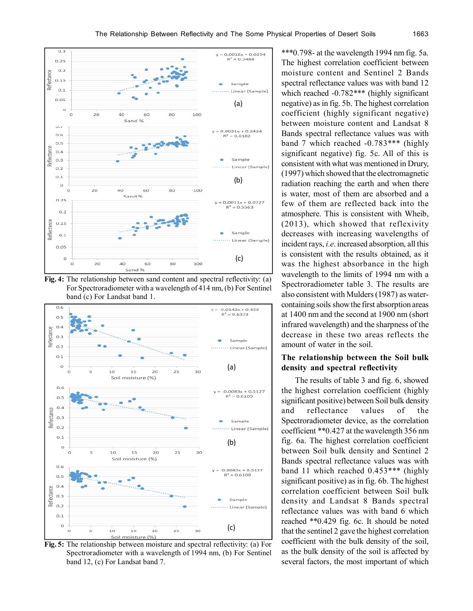

**Fig. 4:** The relationship between sand content and spectral reflectivity: (a) For Spectroradiometer with a wavelength of 414 nm, (b) For Sentinel band (c) For Landsat band 1.



**Fig. 5:** The relationship between moisture and spectral reflectivity: (a) For Spectroradiometer with a wavelength of 1994 nm, (b) For Sentinel band 12, (c) For Landsat band 7.

\*\*\*0.798- at the wavelength 1994 nm fig. 5a. The highest correlation coefficient between moisture content and Sentinel 2 Bands spectral reflectance values was with band 12 which reached -0.782\*\*\* (highly significant negative) as in fig. 5b. The highest correlation coefficient (highly significant negative) between moisture content and Landsat 8 Bands spectral reflectance values was with band 7 which reached -0.783\*\*\* (highly significant negative) fig. 5c. All of this is consistent with what was mentioned in Drury, (1997) which showed that the electromagnetic radiation reaching the earth and when there is water, most of them are absorbed and a few of them are reflected back into the atmosphere. This is consistent with Wheib, (2013), which showed that reflexivity decreases with increasing wavelengths of incident rays, *i.e*. increased absorption, all this is consistent with the results obtained, as it was the highest absorbance in the high wavelength to the limits of 1994 nm with a Spectroradiometer table 3. The results are also consistent with Mulders (1987) as watercontaining soils show the first absorption areas at 1400 nm and the second at 1900 nm (short infrared wavelength) and the sharpness of the decrease in these two areas reflects the amount of water in the soil.

# **The relationship between the Soil bulk density and spectral reflectivity**

The results of table 3 and fig. 6, showed the highest correlation coefficient (highly significant positive) between Soil bulk density and reflectance values of the Spectroradiometer device, as the correlation coefficient \*\*0.427 at the wavelength 356 nm fig. 6a. The highest correlation coefficient between Soil bulk density and Sentinel 2 Bands spectral reflectance values was with band 11 which reached 0.453\*\*\* (highly significant positive) as in fig. 6b. The highest correlation coefficient between Soil bulk density and Landsat 8 Bands spectral reflectance values was with band 6 which reached \*\*0.429 fig. 6c. It should be noted that the sentinel 2 gave the highest correlation coefficient with the bulk density of the soil, as the bulk density of the soil is affected by several factors, the most important of which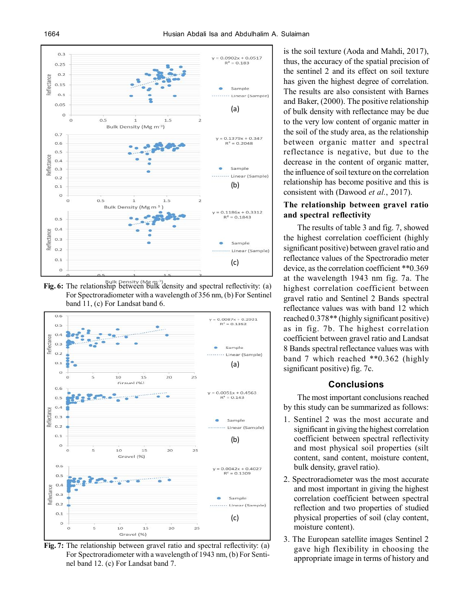

**Fig. 6:** The relationship between bulk density and spectral reflectivity: (a) For Spectroradiometer with a wavelength of 356 nm, (b) For Sentinel band 11, (c) For Landsat band 6.



**Fig. 7:** The relationship between gravel ratio and spectral reflectivity: (a) For Spectroradiometer with a wavelength of 1943 nm, (b) For Sentinel band 12. (c) For Landsat band 7.

is the soil texture (Aoda and Mahdi, 2017), thus, the accuracy of the spatial precision of the sentinel 2 and its effect on soil texture has given the highest degree of correlation. The results are also consistent with Barnes and Baker, (2000). The positive relationship of bulk density with reflectance may be due to the very low content of organic matter in the soil of the study area, as the relationship between organic matter and spectral reflectance is negative, but due to the decrease in the content of organic matter, the influence of soil texture on the correlation relationship has become positive and this is consistent with (Dawood *et al.*, 2017).

## **The relationship between gravel ratio and spectral reflectivity**

The results of table 3 and fig. 7, showed the highest correlation coefficient (highly significant positive) between gravel ratio and reflectance values of the Spectroradio meter device, as the correlation coefficient \*\*0.369 at the wavelength 1943 nm fig. 7a. The highest correlation coefficient between gravel ratio and Sentinel 2 Bands spectral reflectance values was with band 12 which reached 0.378\*\* (highly significant positive) as in fig. 7b. The highest correlation coefficient between gravel ratio and Landsat 8 Bands spectral reflectance values was with band 7 which reached \*\*0.362 (highly significant positive) fig. 7c.

#### **Conclusions**

The most important conclusions reached by this study can be summarized as follows:

- 1. Sentinel 2 was the most accurate and significant in giving the highest correlation coefficient between spectral reflectivity and most physical soil properties (silt content, sand content, moisture content, bulk density, gravel ratio).
- 2. Spectroradiometer was the most accurate and most important in giving the highest correlation coefficient between spectral reflection and two properties of studied physical properties of soil (clay content, moisture content).
- 3. The European satellite images Sentinel 2 gave high flexibility in choosing the appropriate image in terms of history and